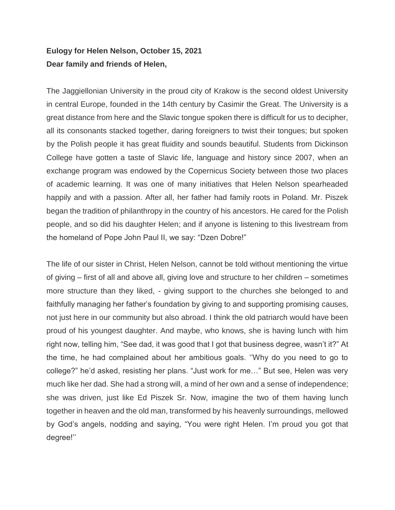## **Eulogy for Helen Nelson, October 15, 2021 Dear family and friends of Helen,**

The Jaggiellonian University in the proud city of Krakow is the second oldest University in central Europe, founded in the 14th century by Casimir the Great. The University is a great distance from here and the Slavic tongue spoken there is difficult for us to decipher, all its consonants stacked together, daring foreigners to twist their tongues; but spoken by the Polish people it has great fluidity and sounds beautiful. Students from Dickinson College have gotten a taste of Slavic life, language and history since 2007, when an exchange program was endowed by the Copernicus Society between those two places of academic learning. It was one of many initiatives that Helen Nelson spearheaded happily and with a passion. After all, her father had family roots in Poland. Mr. Piszek began the tradition of philanthropy in the country of his ancestors. He cared for the Polish people, and so did his daughter Helen; and if anyone is listening to this livestream from the homeland of Pope John Paul II, we say: "Dzen Dobre!"

The life of our sister in Christ, Helen Nelson, cannot be told without mentioning the virtue of giving – first of all and above all, giving love and structure to her children – sometimes more structure than they liked, - giving support to the churches she belonged to and faithfully managing her father's foundation by giving to and supporting promising causes, not just here in our community but also abroad. I think the old patriarch would have been proud of his youngest daughter. And maybe, who knows, she is having lunch with him right now, telling him, "See dad, it was good that I got that business degree, wasn't it?" At the time, he had complained about her ambitious goals. ''Why do you need to go to college?" he'd asked, resisting her plans. "Just work for me…" But see, Helen was very much like her dad. She had a strong will, a mind of her own and a sense of independence; she was driven, just like Ed Piszek Sr. Now, imagine the two of them having lunch together in heaven and the old man, transformed by his heavenly surroundings, mellowed by God's angels, nodding and saying, "You were right Helen. I'm proud you got that degree!''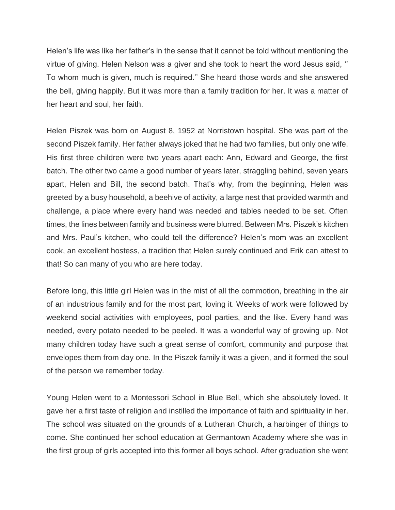Helen's life was like her father's in the sense that it cannot be told without mentioning the virtue of giving. Helen Nelson was a giver and she took to heart the word Jesus said, '' To whom much is given, much is required.'' She heard those words and she answered the bell, giving happily. But it was more than a family tradition for her. It was a matter of her heart and soul, her faith.

Helen Piszek was born on August 8, 1952 at Norristown hospital. She was part of the second Piszek family. Her father always joked that he had two families, but only one wife. His first three children were two years apart each: Ann, Edward and George, the first batch. The other two came a good number of years later, straggling behind, seven years apart, Helen and Bill, the second batch. That's why, from the beginning, Helen was greeted by a busy household, a beehive of activity, a large nest that provided warmth and challenge, a place where every hand was needed and tables needed to be set. Often times, the lines between family and business were blurred. Between Mrs. Piszek's kitchen and Mrs. Paul's kitchen, who could tell the difference? Helen's mom was an excellent cook, an excellent hostess, a tradition that Helen surely continued and Erik can attest to that! So can many of you who are here today.

Before long, this little girl Helen was in the mist of all the commotion, breathing in the air of an industrious family and for the most part, loving it. Weeks of work were followed by weekend social activities with employees, pool parties, and the like. Every hand was needed, every potato needed to be peeled. It was a wonderful way of growing up. Not many children today have such a great sense of comfort, community and purpose that envelopes them from day one. In the Piszek family it was a given, and it formed the soul of the person we remember today.

Young Helen went to a Montessori School in Blue Bell, which she absolutely loved. It gave her a first taste of religion and instilled the importance of faith and spirituality in her. The school was situated on the grounds of a Lutheran Church, a harbinger of things to come. She continued her school education at Germantown Academy where she was in the first group of girls accepted into this former all boys school. After graduation she went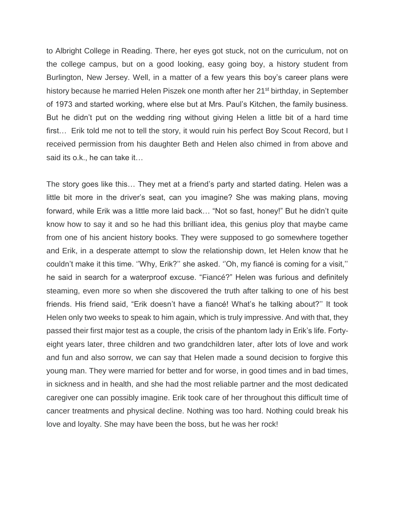to Albright College in Reading. There, her eyes got stuck, not on the curriculum, not on the college campus, but on a good looking, easy going boy, a history student from Burlington, New Jersey. Well, in a matter of a few years this boy's career plans were history because he married Helen Piszek one month after her 21<sup>st</sup> birthday, in September of 1973 and started working, where else but at Mrs. Paul's Kitchen, the family business. But he didn't put on the wedding ring without giving Helen a little bit of a hard time first… Erik told me not to tell the story, it would ruin his perfect Boy Scout Record, but I received permission from his daughter Beth and Helen also chimed in from above and said its o.k., he can take it…

The story goes like this… They met at a friend's party and started dating. Helen was a little bit more in the driver's seat, can you imagine? She was making plans, moving forward, while Erik was a little more laid back… "Not so fast, honey!" But he didn't quite know how to say it and so he had this brilliant idea, this genius ploy that maybe came from one of his ancient history books. They were supposed to go somewhere together and Erik, in a desperate attempt to slow the relationship down, let Helen know that he couldn't make it this time. ''Why, Erik?'' she asked. ''Oh, my fiancé is coming for a visit,'' he said in search for a waterproof excuse. "Fiancé?" Helen was furious and definitely steaming, even more so when she discovered the truth after talking to one of his best friends. His friend said, "Erik doesn't have a fiancé! What's he talking about?'' It took Helen only two weeks to speak to him again, which is truly impressive. And with that, they passed their first major test as a couple, the crisis of the phantom lady in Erik's life. Fortyeight years later, three children and two grandchildren later, after lots of love and work and fun and also sorrow, we can say that Helen made a sound decision to forgive this young man. They were married for better and for worse, in good times and in bad times, in sickness and in health, and she had the most reliable partner and the most dedicated caregiver one can possibly imagine. Erik took care of her throughout this difficult time of cancer treatments and physical decline. Nothing was too hard. Nothing could break his love and loyalty. She may have been the boss, but he was her rock!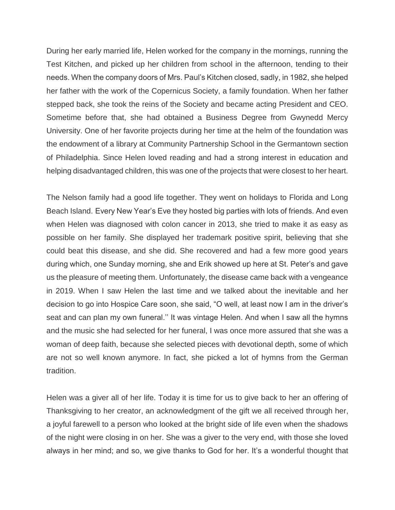During her early married life, Helen worked for the company in the mornings, running the Test Kitchen, and picked up her children from school in the afternoon, tending to their needs. When the company doors of Mrs. Paul's Kitchen closed, sadly, in 1982, she helped her father with the work of the Copernicus Society, a family foundation. When her father stepped back, she took the reins of the Society and became acting President and CEO. Sometime before that, she had obtained a Business Degree from Gwynedd Mercy University. One of her favorite projects during her time at the helm of the foundation was the endowment of a library at Community Partnership School in the Germantown section of Philadelphia. Since Helen loved reading and had a strong interest in education and helping disadvantaged children, this was one of the projects that were closest to her heart.

The Nelson family had a good life together. They went on holidays to Florida and Long Beach Island. Every New Year's Eve they hosted big parties with lots of friends. And even when Helen was diagnosed with colon cancer in 2013, she tried to make it as easy as possible on her family. She displayed her trademark positive spirit, believing that she could beat this disease, and she did. She recovered and had a few more good years during which, one Sunday morning, she and Erik showed up here at St. Peter's and gave us the pleasure of meeting them. Unfortunately, the disease came back with a vengeance in 2019. When I saw Helen the last time and we talked about the inevitable and her decision to go into Hospice Care soon, she said, "O well, at least now I am in the driver's seat and can plan my own funeral.'' It was vintage Helen. And when I saw all the hymns and the music she had selected for her funeral, I was once more assured that she was a woman of deep faith, because she selected pieces with devotional depth, some of which are not so well known anymore. In fact, she picked a lot of hymns from the German tradition.

Helen was a giver all of her life. Today it is time for us to give back to her an offering of Thanksgiving to her creator, an acknowledgment of the gift we all received through her, a joyful farewell to a person who looked at the bright side of life even when the shadows of the night were closing in on her. She was a giver to the very end, with those she loved always in her mind; and so, we give thanks to God for her. It's a wonderful thought that